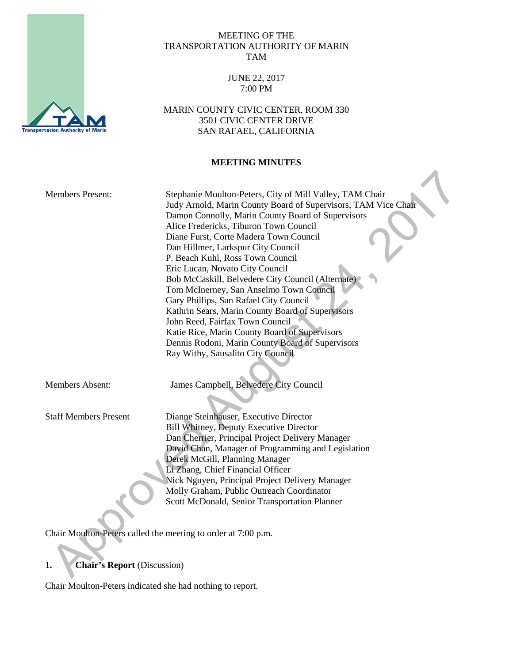#### MEETING OF THE TRANSPORTATION AUTHORITY OF MARIN TAM

## JUNE 22, 2017 7:00 PM

MARIN COUNTY CIVIC CENTER, ROOM 330 3501 CIVIC CENTER DRIVE SAN RAFAEL, CALIFORNIA

### **MEETING MINUTES**

| <b>Members Present:</b>      | Stephanie Moulton-Peters, City of Mill Valley, TAM Chair<br>Judy Arnold, Marin County Board of Supervisors, TAM Vice Chair<br>Damon Connolly, Marin County Board of Supervisors<br>Alice Fredericks, Tiburon Town Council<br>Diane Furst, Corte Madera Town Council<br>Dan Hillmer, Larkspur City Council<br>P. Beach Kuhl, Ross Town Council<br>Eric Lucan, Novato City Council<br>Bob McCaskill, Belvedere City Council (Alternate)<br>Tom McInerney, San Anselmo Town Council<br>Gary Phillips, San Rafael City Council<br>Kathrin Sears, Marin County Board of Supervisors<br>John Reed, Fairfax Town Council<br>Katie Rice, Marin County Board of Supervisors<br>Dennis Rodoni, Marin County Board of Supervisors<br>Ray Withy, Sausalito City Council |
|------------------------------|-------------------------------------------------------------------------------------------------------------------------------------------------------------------------------------------------------------------------------------------------------------------------------------------------------------------------------------------------------------------------------------------------------------------------------------------------------------------------------------------------------------------------------------------------------------------------------------------------------------------------------------------------------------------------------------------------------------------------------------------------------------|
| <b>Members Absent:</b>       | James Campbell, Belvedere City Council                                                                                                                                                                                                                                                                                                                                                                                                                                                                                                                                                                                                                                                                                                                      |
| <b>Staff Members Present</b> | Dianne Steinhauser, Executive Director<br>Bill Whitney, Deputy Executive Director<br>Dan Cherrier, Principal Project Delivery Manager<br>David Chan, Manager of Programming and Legislation<br>Derek McGill, Planning Manager<br>Li Zhang, Chief Financial Officer<br>Nick Nguyen, Principal Project Delivery Manager<br>Molly Graham, Public Outreach Coordinator<br>Scott McDonald, Senior Transportation Planner                                                                                                                                                                                                                                                                                                                                         |

Chair Moulton-Peters called the meeting to order at 7:00 p.m.

# **1. Chair's Report** (Discussion)

Chair Moulton-Peters indicated she had nothing to report.

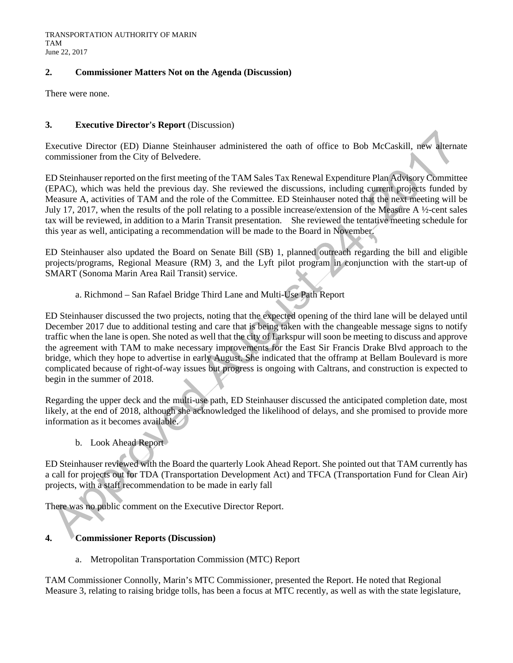TRANSPORTATION AUTHORITY OF MARIN TAM June 22, 2017

#### **2. Commissioner Matters Not on the Agenda (Discussion)**

There were none.

#### **3. Executive Director's Report** (Discussion)

Executive Director (ED) Dianne Steinhauser administered the oath of office to Bob McCaskill, new alternate commissioner from the City of Belvedere.

ED Steinhauser reported on the first meeting of the TAM Sales Tax Renewal Expenditure Plan Advisory Committee (EPAC), which was held the previous day. She reviewed the discussions, including current projects funded by Measure A, activities of TAM and the role of the Committee. ED Steinhauser noted that the next meeting will be July 17, 2017, when the results of the poll relating to a possible increase/extension of the Measure A ½-cent sales tax will be reviewed, in addition to a Marin Transit presentation. She reviewed the tentative meeting schedule for this year as well, anticipating a recommendation will be made to the Board in November.

ED Steinhauser also updated the Board on Senate Bill (SB) 1, planned outreach regarding the bill and eligible projects/programs, Regional Measure (RM) 3, and the Lyft pilot program in conjunction with the start-up of SMART (Sonoma Marin Area Rail Transit) service.

#### a. Richmond – San Rafael Bridge Third Lane and Multi-Use Path Report

ED Steinhauser discussed the two projects, noting that the expected opening of the third lane will be delayed until December 2017 due to additional testing and care that is being taken with the changeable message signs to notify traffic when the lane is open. She noted as well that the city of Larkspur will soon be meeting to discuss and approve the agreement with TAM to make necessary improvements for the East Sir Francis Drake Blvd approach to the bridge, which they hope to advertise in early August. She indicated that the offramp at Bellam Boulevard is more complicated because of right-of-way issues but progress is ongoing with Caltrans, and construction is expected to begin in the summer of 2018.

Regarding the upper deck and the multi-use path, ED Steinhauser discussed the anticipated completion date, most likely, at the end of 2018, although she acknowledged the likelihood of delays, and she promised to provide more information as it becomes available.

#### b. Look Ahead Report

ED Steinhauser reviewed with the Board the quarterly Look Ahead Report. She pointed out that TAM currently has a call for projects out for TDA (Transportation Development Act) and TFCA (Transportation Fund for Clean Air) projects, with a staff recommendation to be made in early fall

There was no public comment on the Executive Director Report.

## **4. Commissioner Reports (Discussion)**

a. Metropolitan Transportation Commission (MTC) Report

TAM Commissioner Connolly, Marin's MTC Commissioner, presented the Report. He noted that Regional Measure 3, relating to raising bridge tolls, has been a focus at MTC recently, as well as with the state legislature,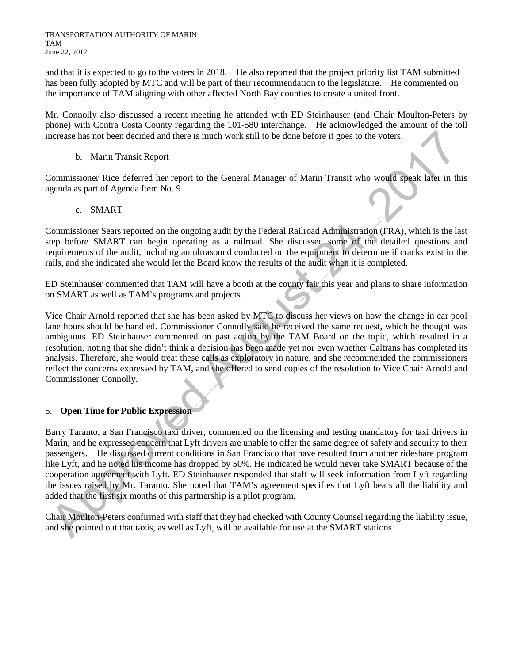and that it is expected to go to the voters in 2018. He also reported that the project priority list TAM submitted has been fully adopted by MTC and will be part of their recommendation to the legislature. He commented on the importance of TAM aligning with other affected North Bay counties to create a united front.

Mr. Connolly also discussed a recent meeting he attended with ED Steinhauser (and Chair Moulton-Peters by phone) with Contra Costa County regarding the 101-580 interchange. He acknowledged the amount of the toll increase has not been decided and there is much work still to be done before it goes to the voters.

b. Marin Transit Report

Commissioner Rice deferred her report to the General Manager of Marin Transit who would speak later in this agenda as part of Agenda Item No. 9.

c. SMART

Commissioner Sears reported on the ongoing audit by the Federal Railroad Administration (FRA), which is the last step before SMART can begin operating as a railroad. She discussed some of the detailed questions and requirements of the audit, including an ultrasound conducted on the equipment to determine if cracks exist in the rails, and she indicated she would let the Board know the results of the audit when it is completed.

ED Steinhauser commented that TAM will have a booth at the county fair this year and plans to share information on SMART as well as TAM's programs and projects.

Vice Chair Arnold reported that she has been asked by MTC to discuss her views on how the change in car pool lane hours should be handled. Commissioner Connolly said he received the same request, which he thought was ambiguous. ED Steinhauser commented on past action by the TAM Board on the topic, which resulted in a resolution, noting that she didn't think a decision has been made yet nor even whether Caltrans has completed its analysis. Therefore, she would treat these calls as exploratory in nature, and she recommended the commissioners reflect the concerns expressed by TAM, and she offered to send copies of the resolution to Vice Chair Arnold and Commissioner Connolly.

# 5. **Open Time for Public Expression**

Barry Taranto, a San Francisco taxi driver, commented on the licensing and testing mandatory for taxi drivers in Marin, and he expressed concern that Lyft drivers are unable to offer the same degree of safety and security to their passengers. He discussed current conditions in San Francisco that have resulted from another rideshare program like Lyft, and he noted his income has dropped by 50%. He indicated he would never take SMART because of the cooperation agreement with Lyft. ED Steinhauser responded that staff will seek information from Lyft regarding the issues raised by Mr. Taranto. She noted that TAM's agreement specifies that Lyft bears all the liability and added that the first six months of this partnership is a pilot program.

Chair Moulton-Peters confirmed with staff that they had checked with County Counsel regarding the liability issue, and she pointed out that taxis, as well as Lyft, will be available for use at the SMART stations.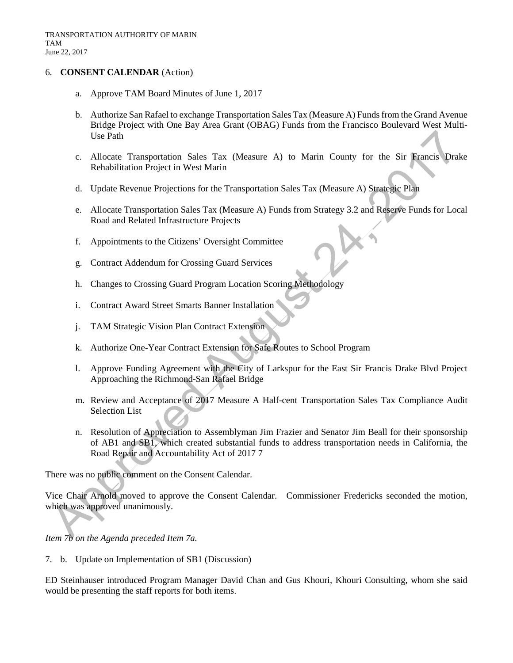#### 6. **CONSENT CALENDAR** (Action)

- a. Approve TAM Board Minutes of June 1, 2017
- b. Authorize San Rafael to exchange Transportation Sales Tax (Measure A) Funds from the Grand Avenue Bridge Project with One Bay Area Grant (OBAG) Funds from the Francisco Boulevard West Multi-Use Path
- c. Allocate Transportation Sales Tax (Measure A) to Marin County for the Sir Francis Drake Rehabilitation Project in West Marin
- d. Update Revenue Projections for the Transportation Sales Tax (Measure A) Strategic Plan
- e. Allocate Transportation Sales Tax (Measure A) Funds from Strategy 3.2 and Reserve Funds for Local Road and Related Infrastructure Projects
- f. Appointments to the Citizens' Oversight Committee
- g. Contract Addendum for Crossing Guard Services
- h. Changes to Crossing Guard Program Location Scoring Methodology
- i. Contract Award Street Smarts Banner Installation
- j. TAM Strategic Vision Plan Contract Extension
- k. Authorize One-Year Contract Extension for Safe Routes to School Program
- l. Approve Funding Agreement with the City of Larkspur for the East Sir Francis Drake Blvd Project Approaching the Richmond-San Rafael Bridge
- m. Review and Acceptance of 2017 Measure A Half-cent Transportation Sales Tax Compliance Audit Selection List
- n. Resolution of Appreciation to Assemblyman Jim Frazier and Senator Jim Beall for their sponsorship of AB1 and SB1, which created substantial funds to address transportation needs in California, the Road Repair and Accountability Act of 2017 7

There was no public comment on the Consent Calendar.

Vice Chair Arnold moved to approve the Consent Calendar. Commissioner Fredericks seconded the motion, which was approved unanimously.

*Item 7b on the Agenda preceded Item 7a.*

7. b. Update on Implementation of SB1 (Discussion)

ED Steinhauser introduced Program Manager David Chan and Gus Khouri, Khouri Consulting, whom she said would be presenting the staff reports for both items.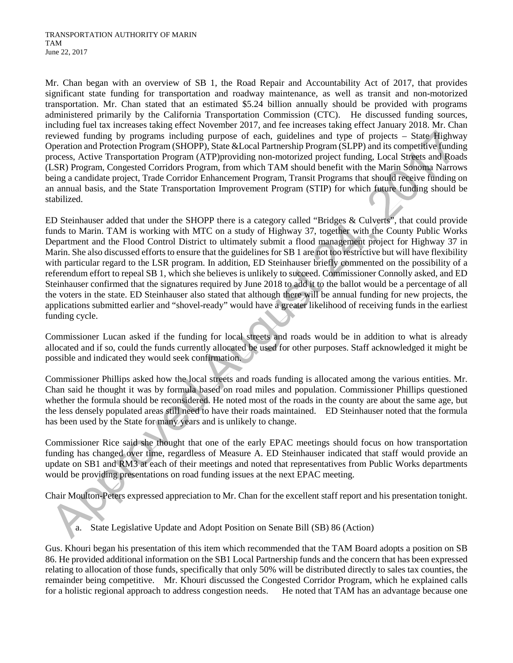Mr. Chan began with an overview of SB 1, the Road Repair and Accountability Act of 2017, that provides significant state funding for transportation and roadway maintenance, as well as transit and non-motorized transportation. Mr. Chan stated that an estimated \$5.24 billion annually should be provided with programs administered primarily by the California Transportation Commission (CTC). He discussed funding sources, including fuel tax increases taking effect November 2017, and fee increases taking effect January 2018. Mr. Chan reviewed funding by programs including purpose of each, guidelines and type of projects – State Highway Operation and Protection Program (SHOPP), State &Local Partnership Program (SLPP) and its competitive funding process, Active Transportation Program (ATP)providing non-motorized project funding, Local Streets and Roads (LSR) Program, Congested Corridors Program, from which TAM should benefit with the Marin Sonoma Narrows being a candidate project, Trade Corridor Enhancement Program, Transit Programs that should receive funding on an annual basis, and the State Transportation Improvement Program (STIP) for which future funding should be stabilized.

ED Steinhauser added that under the SHOPP there is a category called "Bridges & Culverts", that could provide funds to Marin. TAM is working with MTC on a study of Highway 37, together with the County Public Works Department and the Flood Control District to ultimately submit a flood management project for Highway 37 in Marin. She also discussed efforts to ensure that the guidelines for SB 1 are not too restrictive but will have flexibility with particular regard to the LSR program. In addition, ED Steinhauser briefly commented on the possibility of a referendum effort to repeal SB 1, which she believes is unlikely to succeed. Commissioner Connolly asked, and ED Steinhauser confirmed that the signatures required by June 2018 to add it to the ballot would be a percentage of all the voters in the state. ED Steinhauser also stated that although there will be annual funding for new projects, the applications submitted earlier and "shovel-ready" would have a greater likelihood of receiving funds in the earliest funding cycle.

Commissioner Lucan asked if the funding for local streets and roads would be in addition to what is already allocated and if so, could the funds currently allocated be used for other purposes. Staff acknowledged it might be possible and indicated they would seek confirmation.

Commissioner Phillips asked how the local streets and roads funding is allocated among the various entities. Mr. Chan said he thought it was by formula based on road miles and population. Commissioner Phillips questioned whether the formula should be reconsidered. He noted most of the roads in the county are about the same age, but the less densely populated areas still need to have their roads maintained. ED Steinhauser noted that the formula has been used by the State for many years and is unlikely to change.

Commissioner Rice said she thought that one of the early EPAC meetings should focus on how transportation funding has changed over time, regardless of Measure A. ED Steinhauser indicated that staff would provide an update on SB1 and RM3 at each of their meetings and noted that representatives from Public Works departments would be providing presentations on road funding issues at the next EPAC meeting.

Chair Moulton-Peters expressed appreciation to Mr. Chan for the excellent staff report and his presentation tonight.

a. State Legislative Update and Adopt Position on Senate Bill (SB) 86 (Action)

Gus. Khouri began his presentation of this item which recommended that the TAM Board adopts a position on SB 86. He provided additional information on the SB1 Local Partnership funds and the concern that has been expressed relating to allocation of those funds, specifically that only 50% will be distributed directly to sales tax counties, the remainder being competitive. Mr. Khouri discussed the Congested Corridor Program, which he explained calls for a holistic regional approach to address congestion needs. He noted that TAM has an advantage because one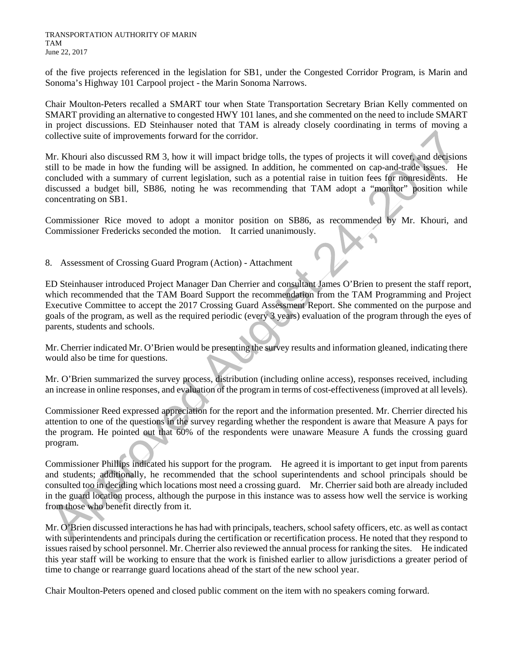of the five projects referenced in the legislation for SB1, under the Congested Corridor Program, is Marin and Sonoma's Highway 101 Carpool project - the Marin Sonoma Narrows.

Chair Moulton-Peters recalled a SMART tour when State Transportation Secretary Brian Kelly commented on SMART providing an alternative to congested HWY 101 lanes, and she commented on the need to include SMART in project discussions. ED Steinhauser noted that TAM is already closely coordinating in terms of moving a collective suite of improvements forward for the corridor.

Mr. Khouri also discussed RM 3, how it will impact bridge tolls, the types of projects it will cover, and decisions still to be made in how the funding will be assigned. In addition, he commented on cap-and-trade issues. He concluded with a summary of current legislation, such as a potential raise in tuition fees for nonresidents. He discussed a budget bill, SB86, noting he was recommending that TAM adopt a "monitor" position while concentrating on SB1.

Commissioner Rice moved to adopt a monitor position on SB86, as recommended by Mr. Khouri, and Commissioner Fredericks seconded the motion. It carried unanimously.

8. Assessment of Crossing Guard Program (Action) - Attachment

ED Steinhauser introduced Project Manager Dan Cherrier and consultant James O'Brien to present the staff report, which recommended that the TAM Board Support the recommendation from the TAM Programming and Project Executive Committee to accept the 2017 Crossing Guard Assessment Report. She commented on the purpose and goals of the program, as well as the required periodic (every 3 years) evaluation of the program through the eyes of parents, students and schools.

Mr. Cherrier indicated Mr. O'Brien would be presenting the survey results and information gleaned, indicating there would also be time for questions.

Mr. O'Brien summarized the survey process, distribution (including online access), responses received, including an increase in online responses, and evaluation of the program in terms of cost-effectiveness (improved at all levels).

Commissioner Reed expressed appreciation for the report and the information presented. Mr. Cherrier directed his attention to one of the questions in the survey regarding whether the respondent is aware that Measure A pays for the program. He pointed out that 60% of the respondents were unaware Measure A funds the crossing guard program.

Commissioner Phillips indicated his support for the program. He agreed it is important to get input from parents and students; additionally, he recommended that the school superintendents and school principals should be consulted too in deciding which locations most need a crossing guard. Mr. Cherrier said both are already included in the guard location process, although the purpose in this instance was to assess how well the service is working from those who benefit directly from it.

Mr. O'Brien discussed interactions he has had with principals, teachers, school safety officers, etc. as well as contact with superintendents and principals during the certification or recertification process. He noted that they respond to issues raised by school personnel. Mr. Cherrier also reviewed the annual process for ranking the sites. He indicated this year staff will be working to ensure that the work is finished earlier to allow jurisdictions a greater period of time to change or rearrange guard locations ahead of the start of the new school year.

Chair Moulton-Peters opened and closed public comment on the item with no speakers coming forward.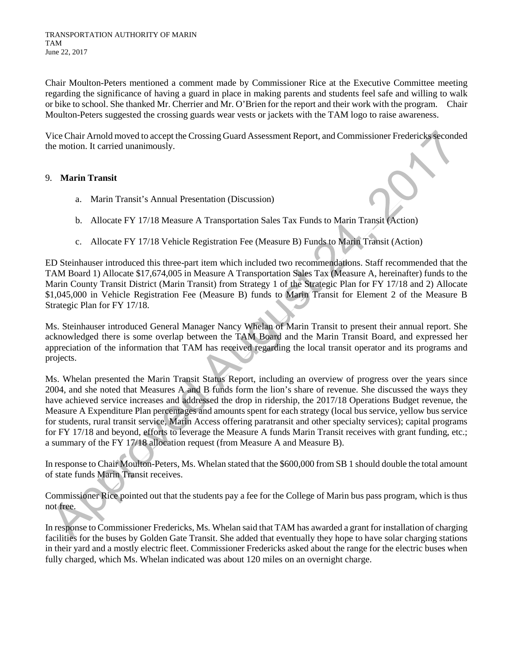Chair Moulton-Peters mentioned a comment made by Commissioner Rice at the Executive Committee meeting regarding the significance of having a guard in place in making parents and students feel safe and willing to walk or bike to school. She thanked Mr. Cherrier and Mr. O'Brien for the report and their work with the program. Chair Moulton-Peters suggested the crossing guards wear vests or jackets with the TAM logo to raise awareness.

Vice Chair Arnold moved to accept the Crossing Guard Assessment Report, and Commissioner Fredericksseconded the motion. It carried unanimously.

#### 9. **Marin Transit**

- a. Marin Transit's Annual Presentation (Discussion)
- b. Allocate FY 17/18 Measure A Transportation Sales Tax Funds to Marin Transit (Action)
- c. Allocate FY 17/18 Vehicle Registration Fee (Measure B) Funds to Marin Transit (Action)

ED Steinhauser introduced this three-part item which included two recommendations. Staff recommended that the TAM Board 1) Allocate \$17,674,005 in Measure A Transportation Sales Tax (Measure A, hereinafter) funds to the Marin County Transit District (Marin Transit) from Strategy 1 of the Strategic Plan for FY 17/18 and 2) Allocate \$1,045,000 in Vehicle Registration Fee (Measure B) funds to Marin Transit for Element 2 of the Measure B Strategic Plan for FY 17/18.

Ms. Steinhauser introduced General Manager Nancy Whelan of Marin Transit to present their annual report. She acknowledged there is some overlap between the TAM Board and the Marin Transit Board, and expressed her appreciation of the information that TAM has received regarding the local transit operator and its programs and projects.

Ms. Whelan presented the Marin Transit Status Report, including an overview of progress over the years since 2004, and she noted that Measures A and B funds form the lion's share of revenue. She discussed the ways they have achieved service increases and addressed the drop in ridership, the 2017/18 Operations Budget revenue, the Measure A Expenditure Plan percentages and amounts spent for each strategy (local bus service, yellow bus service for students, rural transit service, Marin Access offering paratransit and other specialty services); capital programs for FY 17/18 and beyond, efforts to leverage the Measure A funds Marin Transit receives with grant funding, etc.; a summary of the FY 17/18 allocation request (from Measure A and Measure B).

In response to Chair Moulton-Peters, Ms. Whelan stated that the \$600,000 from SB 1 should double the total amount of state funds Marin Transit receives.

Commissioner Rice pointed out that the students pay a fee for the College of Marin bus pass program, which is thus not free.

In response to Commissioner Fredericks, Ms. Whelan said that TAM has awarded a grant for installation of charging facilities for the buses by Golden Gate Transit. She added that eventually they hope to have solar charging stations in their yard and a mostly electric fleet. Commissioner Fredericks asked about the range for the electric buses when fully charged, which Ms. Whelan indicated was about 120 miles on an overnight charge.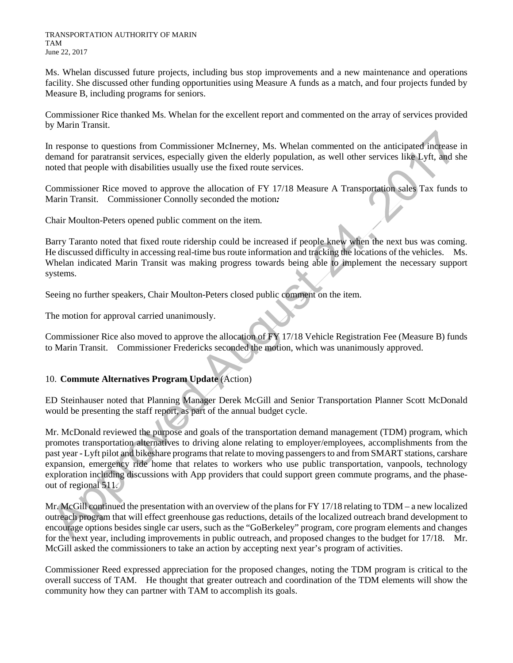Ms. Whelan discussed future projects, including bus stop improvements and a new maintenance and operations facility. She discussed other funding opportunities using Measure A funds as a match, and four projects funded by Measure B, including programs for seniors.

Commissioner Rice thanked Ms. Whelan for the excellent report and commented on the array of services provided by Marin Transit.

In response to questions from Commissioner McInerney, Ms. Whelan commented on the anticipated increase in demand for paratransit services, especially given the elderly population, as well other services like Lyft, and she noted that people with disabilities usually use the fixed route services.

Commissioner Rice moved to approve the allocation of FY 17/18 Measure A Transportation sales Tax funds to Marin Transit. Commissioner Connolly seconded the motion*:*

Chair Moulton-Peters opened public comment on the item.

Barry Taranto noted that fixed route ridership could be increased if people knew when the next bus was coming. He discussed difficulty in accessing real-time bus route information and tracking the locations of the vehicles. Ms. Whelan indicated Marin Transit was making progress towards being able to implement the necessary support systems.

Seeing no further speakers, Chair Moulton-Peters closed public comment on the item.

The motion for approval carried unanimously.

Commissioner Rice also moved to approve the allocation of FY 17/18 Vehicle Registration Fee (Measure B) funds to Marin Transit. Commissioner Fredericks seconded the motion, which was unanimously approved.

#### 10. **Commute Alternatives Program Update** (Action)

ED Steinhauser noted that Planning Manager Derek McGill and Senior Transportation Planner Scott McDonald would be presenting the staff report, as part of the annual budget cycle.

Mr. McDonald reviewed the purpose and goals of the transportation demand management (TDM) program, which promotes transportation alternatives to driving alone relating to employer/employees, accomplishments from the past year - Lyft pilot and bikeshare programsthat relate to moving passengers to and from SMART stations, carshare expansion, emergency ride home that relates to workers who use public transportation, vanpools, technology exploration including discussions with App providers that could support green commute programs, and the phaseout of regional 511.

Mr. McGill continued the presentation with an overview of the plans for FY 17/18 relating to TDM – a new localized outreach program that will effect greenhouse gas reductions, details of the localized outreach brand development to encourage options besides single car users, such as the "GoBerkeley" program, core program elements and changes for the next year, including improvements in public outreach, and proposed changes to the budget for 17/18. Mr. McGill asked the commissioners to take an action by accepting next year's program of activities.

Commissioner Reed expressed appreciation for the proposed changes, noting the TDM program is critical to the overall success of TAM. He thought that greater outreach and coordination of the TDM elements will show the community how they can partner with TAM to accomplish its goals.